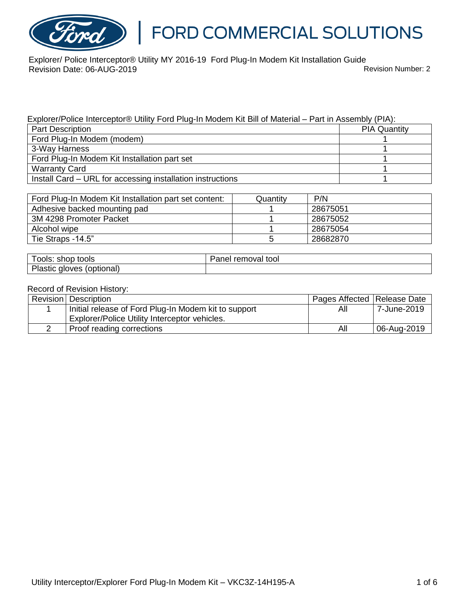

### FORD COMMERCIAL SOLUTIONS

Explorer/ Police Interceptor® Utility MY 2016-19 Ford Plug-In Modem Kit Installation Guide Revision Date: 06-AUG-2019 **Revision Date: 06-AUG-2019** 

#### Explorer/Police Interceptor® Utility Ford Plug-In Modem Kit Bill of Material – Part in Assembly (PIA):

| <b>Part Description</b>                                    | <b>PIA Quantity</b> |
|------------------------------------------------------------|---------------------|
| Ford Plug-In Modem (modem)                                 |                     |
| 3-Way Harness                                              |                     |
| Ford Plug-In Modem Kit Installation part set               |                     |
| <b>Warranty Card</b>                                       |                     |
| Install Card - URL for accessing installation instructions |                     |

| Ford Plug-In Modem Kit Installation part set content: | Quantity | P/N      |
|-------------------------------------------------------|----------|----------|
| Adhesive backed mounting pad                          |          | 28675051 |
| 3M 4298 Promoter Packet                               |          | 28675052 |
| Alcohol wipe                                          |          | 28675054 |
| Tie Straps -14.5"                                     |          | 28682870 |

| shop tools                      | removal tool |
|---------------------------------|--------------|
| OOIS:                           | aner         |
| Plastic<br>(optional)<br>gloves |              |

#### Record of Revision History:

| Revision Description                                 | Pages Affected   Release Date |             |
|------------------------------------------------------|-------------------------------|-------------|
| Initial release of Ford Plug-In Modem kit to support | All                           | 7-June-2019 |
| Explorer/Police Utility Interceptor vehicles.        |                               |             |
| Proof reading corrections                            | All                           | 06-Aug-2019 |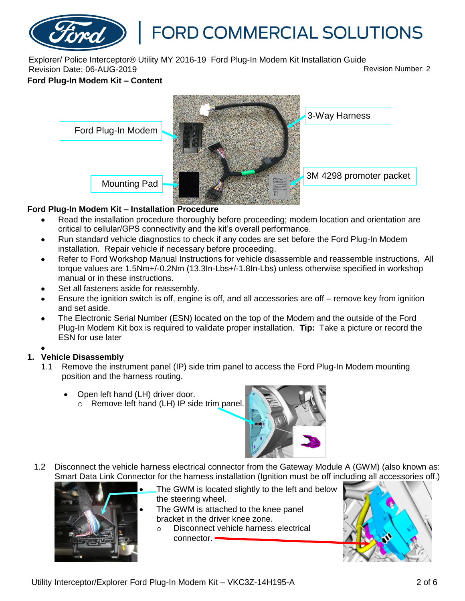# FORD COMMERCIAL SOLUTIONS

Explorer/ Police Interceptor® Utility MY 2016-19 Ford Plug-In Modem Kit Installation Guide Revision Date: 06-AUG-2019 **Revision Date: 06-AUG-2019** 

#### **Ford Plug-In Modem Kit – Content**



#### **Ford Plug-In Modem Kit – Installation Procedure**

- Read the installation procedure thoroughly before proceeding; modem location and orientation are critical to cellular/GPS connectivity and the kit's overall performance.
- Run standard vehicle diagnostics to check if any codes are set before the Ford Plug-In Modem installation. Repair vehicle if necessary before proceeding.
- Refer to Ford Workshop Manual Instructions for vehicle disassemble and reassemble instructions. All torque values are 1.5Nm+/-0.2Nm (13.3In-Lbs+/-1.8In-Lbs) unless otherwise specified in workshop manual or in these instructions.
- Set all fasteners aside for reassembly.
- Ensure the ignition switch is off, engine is off, and all accessories are off remove key from ignition and set aside.
- The Electronic Serial Number (ESN) located on the top of the Modem and the outside of the Ford Plug-In Modem Kit box is required to validate proper installation. **Tip:** Take a picture or record the ESN for use later

#### $\bullet$

#### **1. Vehicle Disassembly**

- 1.1 Remove the instrument panel (IP) side trim panel to access the Ford Plug-In Modem mounting position and the harness routing.
	- Open left hand (LH) driver door.
		- o Remove left hand (LH) IP side trim panel.



1.2 Disconnect the vehicle harness electrical connector from the Gateway Module A (GWM) (also known as: Smart Data Link Connector for the harness installation (Ignition must be off including all accessories off.)



- The GWM is located slightly to the left and below the steering wheel.
- The GWM is attached to the knee panel bracket in the driver knee zone.
	- o Disconnect vehicle harness electrical connector.

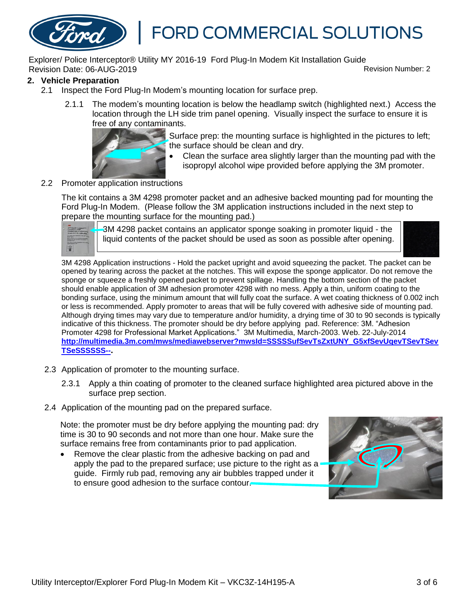

Explorer/ Police Interceptor® Utility MY 2016-19 Ford Plug-In Modem Kit Installation Guide Revision Date: 06-AUG-2019 Revision Number: 2

#### **2. Vehicle Preparation**

- 2.1 Inspect the Ford Plug-In Modem's mounting location for surface prep.
	- 2.1.1 The modem's mounting location is below the headlamp switch (highlighted next.) Access the location through the LH side trim panel opening. Visually inspect the surface to ensure it is free of any contaminants.



Surface prep: the mounting surface is highlighted in the pictures to left; the surface should be clean and dry.

 Clean the surface area slightly larger than the mounting pad with the isopropyl alcohol wipe provided before applying the 3M promoter.

#### 2.2 Promoter application instructions

The kit contains a 3M 4298 promoter packet and an adhesive backed mounting pad for mounting the Ford Plug-In Modem. (Please follow the 3M application instructions included in the next step to prepare the mounting surface for the mounting pad.)

3M 4298 packet contains an applicator sponge soaking in promoter liquid - the liquid contents of the packet should be used as soon as possible after opening.



3M 4298 Application instructions - Hold the packet upright and avoid squeezing the packet. The packet can be opened by tearing across the packet at the notches. This will expose the sponge applicator. Do not remove the sponge or squeeze a freshly opened packet to prevent spillage. Handling the bottom section of the packet should enable application of 3M adhesion promoter 4298 with no mess. Apply a thin, uniform coating to the bonding surface, using the minimum amount that will fully coat the surface. A wet coating thickness of 0.002 inch or less is recommended. Apply promoter to areas that will be fully covered with adhesive side of mounting pad. Although drying times may vary due to temperature and/or humidity, a drying time of 30 to 90 seconds is typically indicative of this thickness. The promoter should be dry before applying pad. Reference: 3M. "Adhesion Promoter 4298 for Professional Market Applications." 3M Multimedia, March-2003. Web. 22-July-2014 **[http://multimedia.3m.com/mws/mediawebserver?mwsId=SSSSSufSevTsZxtUNY\\_G5xfSevUqevTSevTSev](http://multimedia.3m.com/mws/mediawebserver?mwsId=SSSSSufSevTsZxtUNY_G5xfSevUqevTSevTSevTSeSSSSSS--) [TSeSSSSSS--](http://multimedia.3m.com/mws/mediawebserver?mwsId=SSSSSufSevTsZxtUNY_G5xfSevUqevTSevTSevTSeSSSSSS--).**

- 2.3 Application of promoter to the mounting surface.
	- 2.3.1 Apply a thin coating of promoter to the cleaned surface highlighted area pictured above in the surface prep section.
- 2.4 Application of the mounting pad on the prepared surface.

Note: the promoter must be dry before applying the mounting pad: dry time is 30 to 90 seconds and not more than one hour. Make sure the surface remains free from contaminants prior to pad application.

• Remove the clear plastic from the adhesive backing on pad and apply the pad to the prepared surface; use picture to the right as a guide. Firmly rub pad, removing any air bubbles trapped under it to ensure good adhesion to the surface contour.

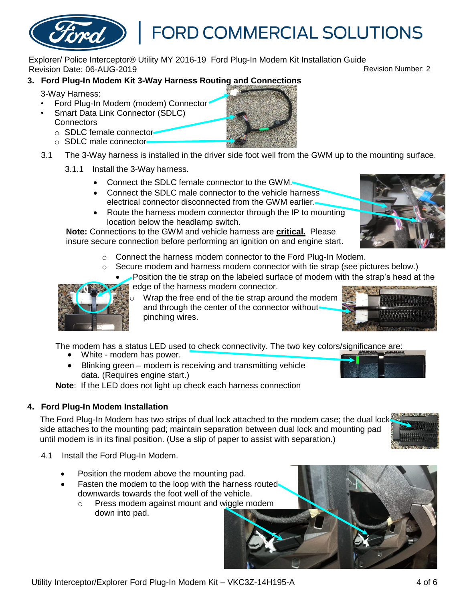Explorer/ Police Interceptor® Utility MY 2016-19 Ford Plug-In Modem Kit Installation Guide Revision Date: 06-AUG-2019 Revision Number: 2

#### **3. Ford Plug-In Modem Kit 3-Way Harness Routing and Connections**

3-Way Harness:

- Ford Plug-In Modem (modem) Connector
- Smart Data Link Connector (SDLC) **Connectors** 
	- o SDLC female connector
	- o SDLC male connector
- 3.1 The 3-Way harness is installed in the driver side foot well from the GWM up to the mounting surface.
	- 3.1.1 Install the 3-Way harness.
		- Connect the SDLC female connector to the GWM.
		- Connect the SDLC male connector to the vehicle harness electrical connector disconnected from the GWM earlier.
		- Route the harness modem connector through the IP to mounting location below the headlamp switch.

**Note:** Connections to the GWM and vehicle harness are **critical.** Please insure secure connection before performing an ignition on and engine start.

- o Connect the harness modem connector to the Ford Plug-In Modem.
- o Secure modem and harness modem connector with tie strap (see pictures below.)
	- Position the tie strap on the labeled surface of modem with the strap's head at the edge of the harness modem connector.

Wrap the free end of the tie strap around the modem and through the center of the connector withoutpinching wires.

The modem has a status LED used to check connectivity. The two key colors/significance are:

- White modem has power.
- Blinking green modem is receiving and transmitting vehicle data. (Requires engine start.)

**Note**: If the LED does not light up check each harness connection

#### **4. Ford Plug-In Modem Installation**

The Ford Plug-In Modem has two strips of dual lock attached to the modem case; the dual lock<sup>ss</sup> side attaches to the mounting pad; maintain separation between dual lock and mounting pad until modem is in its final position. (Use a slip of paper to assist with separation.)

- 4.1 Install the Ford Plug-In Modem.
	- Position the modem above the mounting pad.
	- Fasten the modem to the loop with the harness routed downwards towards the foot well of the vehicle.
		- o Press modem against mount and wiggle modem down into pad.











**FORD COMMERCIAL SOLUTIONS** 

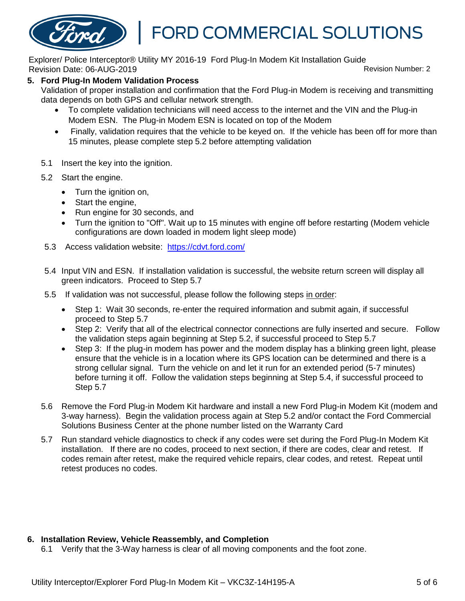## FORD COMMERCIAL SOLUTIONS

Explorer/ Police Interceptor® Utility MY 2016-19 Ford Plug-In Modem Kit Installation Guide Revision Date: 06-AUG-2019 Revision Number: 2

#### **5. Ford Plug-In Modem Validation Process**

Validation of proper installation and confirmation that the Ford Plug-in Modem is receiving and transmitting data depends on both GPS and cellular network strength.

- To complete validation technicians will need access to the internet and the VIN and the Plug-in Modem ESN. The Plug-in Modem ESN is located on top of the Modem
- Finally, validation requires that the vehicle to be keyed on. If the vehicle has been off for more than 15 minutes, please complete step 5.2 before attempting validation
- 5.1 Insert the key into the ignition.
- 5.2 Start the engine.
	- Turn the ignition on,
	- Start the engine,
	- Run engine for 30 seconds, and
	- Turn the ignition to "Off". Wait up to 15 minutes with engine off before restarting (Modem vehicle configurations are down loaded in modem light sleep mode)
- 5.3 Access validation website: <https://cdvt.ford.com/>
- 5.4 Input VIN and ESN. If installation validation is successful, the website return screen will display all green indicators. Proceed to Step 5.7
- 5.5 If validation was not successful, please follow the following steps in order:
	- Step 1: Wait 30 seconds, re-enter the required information and submit again, if successful proceed to Step 5.7
	- Step 2: Verify that all of the electrical connector connections are fully inserted and secure. Follow the validation steps again beginning at Step 5.2, if successful proceed to Step 5.7
	- Step 3: If the plug-in modem has power and the modem display has a blinking green light, please ensure that the vehicle is in a location where its GPS location can be determined and there is a strong cellular signal. Turn the vehicle on and let it run for an extended period (5-7 minutes) before turning it off. Follow the validation steps beginning at Step 5.4, if successful proceed to Step 5.7
- 5.6 Remove the Ford Plug-in Modem Kit hardware and install a new Ford Plug-in Modem Kit (modem and 3-way harness). Begin the validation process again at Step 5.2 and/or contact the Ford Commercial Solutions Business Center at the phone number listed on the Warranty Card
- 5.7 Run standard vehicle diagnostics to check if any codes were set during the Ford Plug-In Modem Kit installation. If there are no codes, proceed to next section, if there are codes, clear and retest. If codes remain after retest, make the required vehicle repairs, clear codes, and retest. Repeat until retest produces no codes.

#### **6. Installation Review, Vehicle Reassembly, and Completion**

6.1 Verify that the 3-Way harness is clear of all moving components and the foot zone.